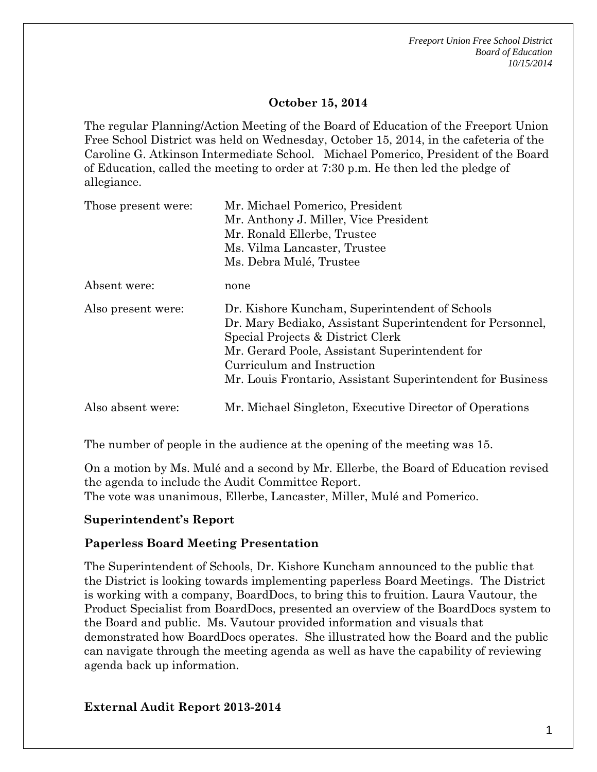*Freeport Union Free School District Board of Education 10/15/2014*

#### **October 15, 2014**

The regular Planning/Action Meeting of the Board of Education of the Freeport Union Free School District was held on Wednesday, October 15, 2014, in the cafeteria of the Caroline G. Atkinson Intermediate School. Michael Pomerico, President of the Board of Education, called the meeting to order at 7:30 p.m. He then led the pledge of allegiance.

| Those present were: | Mr. Michael Pomerico, President                                                                                                                                                                                                                                                                |
|---------------------|------------------------------------------------------------------------------------------------------------------------------------------------------------------------------------------------------------------------------------------------------------------------------------------------|
|                     | Mr. Anthony J. Miller, Vice President                                                                                                                                                                                                                                                          |
|                     | Mr. Ronald Ellerbe, Trustee                                                                                                                                                                                                                                                                    |
|                     | Ms. Vilma Lancaster, Trustee                                                                                                                                                                                                                                                                   |
|                     | Ms. Debra Mulé, Trustee                                                                                                                                                                                                                                                                        |
| Absent were:        | none                                                                                                                                                                                                                                                                                           |
| Also present were:  | Dr. Kishore Kuncham, Superintendent of Schools<br>Dr. Mary Bediako, Assistant Superintendent for Personnel,<br>Special Projects & District Clerk<br>Mr. Gerard Poole, Assistant Superintendent for<br>Curriculum and Instruction<br>Mr. Louis Frontario, Assistant Superintendent for Business |
| Also absent were:   | Mr. Michael Singleton, Executive Director of Operations                                                                                                                                                                                                                                        |

The number of people in the audience at the opening of the meeting was 15.

On a motion by Ms. Mulé and a second by Mr. Ellerbe, the Board of Education revised the agenda to include the Audit Committee Report. The vote was unanimous, Ellerbe, Lancaster, Miller, Mulé and Pomerico.

### **Superintendent's Report**

### **Paperless Board Meeting Presentation**

The Superintendent of Schools, Dr. Kishore Kuncham announced to the public that the District is looking towards implementing paperless Board Meetings. The District is working with a company, BoardDocs, to bring this to fruition. Laura Vautour, the Product Specialist from BoardDocs, presented an overview of the BoardDocs system to the Board and public. Ms. Vautour provided information and visuals that demonstrated how BoardDocs operates. She illustrated how the Board and the public can navigate through the meeting agenda as well as have the capability of reviewing agenda back up information.

### **External Audit Report 2013-2014**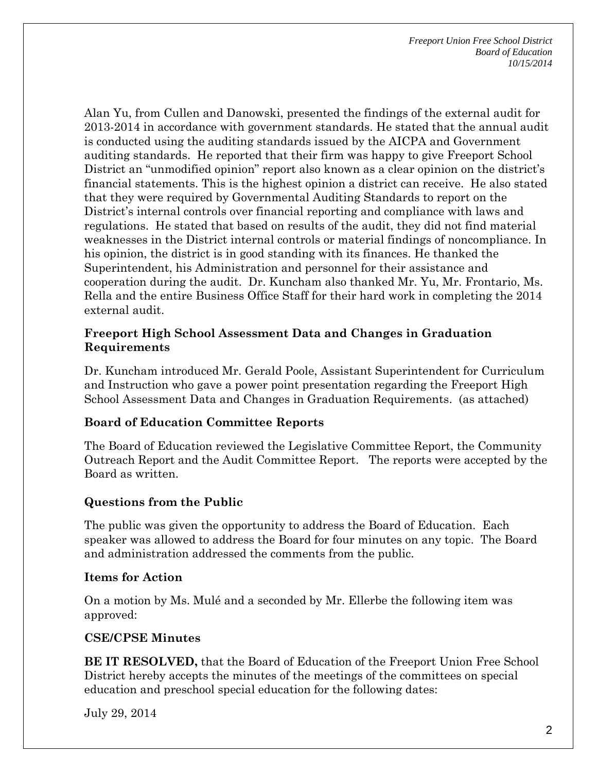*Freeport Union Free School District Board of Education 10/15/2014*

Alan Yu, from Cullen and Danowski, presented the findings of the external audit for 2013-2014 in accordance with government standards. He stated that the annual audit is conducted using the auditing standards issued by the AICPA and Government auditing standards. He reported that their firm was happy to give Freeport School District an "unmodified opinion" report also known as a clear opinion on the district's financial statements. This is the highest opinion a district can receive. He also stated that they were required by Governmental Auditing Standards to report on the District's internal controls over financial reporting and compliance with laws and regulations. He stated that based on results of the audit, they did not find material weaknesses in the District internal controls or material findings of noncompliance. In his opinion, the district is in good standing with its finances. He thanked the Superintendent, his Administration and personnel for their assistance and cooperation during the audit. Dr. Kuncham also thanked Mr. Yu, Mr. Frontario, Ms. Rella and the entire Business Office Staff for their hard work in completing the 2014 external audit.

### **Freeport High School Assessment Data and Changes in Graduation Requirements**

Dr. Kuncham introduced Mr. Gerald Poole, Assistant Superintendent for Curriculum and Instruction who gave a power point presentation regarding the Freeport High School Assessment Data and Changes in Graduation Requirements. (as attached)

### **Board of Education Committee Reports**

The Board of Education reviewed the Legislative Committee Report, the Community Outreach Report and the Audit Committee Report. The reports were accepted by the Board as written.

# **Questions from the Public**

The public was given the opportunity to address the Board of Education. Each speaker was allowed to address the Board for four minutes on any topic. The Board and administration addressed the comments from the public.

### **Items for Action**

On a motion by Ms. Mulé and a seconded by Mr. Ellerbe the following item was approved:

# **CSE/CPSE Minutes**

**BE IT RESOLVED,** that the Board of Education of the Freeport Union Free School District hereby accepts the minutes of the meetings of the committees on special education and preschool special education for the following dates:

July 29, 2014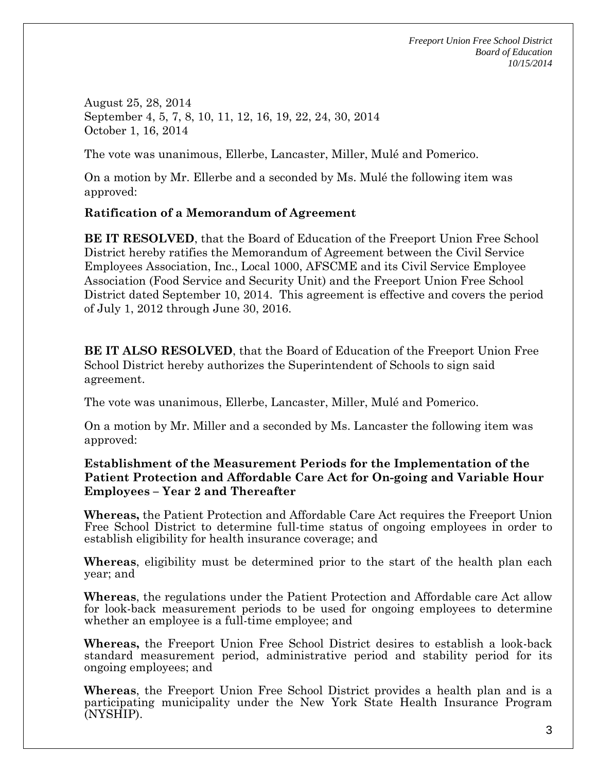*Freeport Union Free School District Board of Education 10/15/2014*

August 25, 28, 2014 September 4, 5, 7, 8, 10, 11, 12, 16, 19, 22, 24, 30, 2014 October 1, 16, 2014

The vote was unanimous, Ellerbe, Lancaster, Miller, Mulé and Pomerico.

On a motion by Mr. Ellerbe and a seconded by Ms. Mulé the following item was approved:

### **Ratification of a Memorandum of Agreement**

**BE IT RESOLVED**, that the Board of Education of the Freeport Union Free School District hereby ratifies the Memorandum of Agreement between the Civil Service Employees Association, Inc., Local 1000, AFSCME and its Civil Service Employee Association (Food Service and Security Unit) and the Freeport Union Free School District dated September 10, 2014. This agreement is effective and covers the period of July 1, 2012 through June 30, 2016.

**BE IT ALSO RESOLVED**, that the Board of Education of the Freeport Union Free School District hereby authorizes the Superintendent of Schools to sign said agreement.

The vote was unanimous, Ellerbe, Lancaster, Miller, Mulé and Pomerico.

On a motion by Mr. Miller and a seconded by Ms. Lancaster the following item was approved:

### **Establishment of the Measurement Periods for the Implementation of the Patient Protection and Affordable Care Act for On-going and Variable Hour Employees – Year 2 and Thereafter**

**Whereas,** the Patient Protection and Affordable Care Act requires the Freeport Union Free School District to determine full-time status of ongoing employees in order to establish eligibility for health insurance coverage; and

**Whereas**, eligibility must be determined prior to the start of the health plan each year; and

**Whereas**, the regulations under the Patient Protection and Affordable care Act allow for look-back measurement periods to be used for ongoing employees to determine whether an employee is a full-time employee; and

**Whereas,** the Freeport Union Free School District desires to establish a look-back standard measurement period, administrative period and stability period for its ongoing employees; and

**Whereas**, the Freeport Union Free School District provides a health plan and is a participating municipality under the New York State Health Insurance Program (NYSHIP).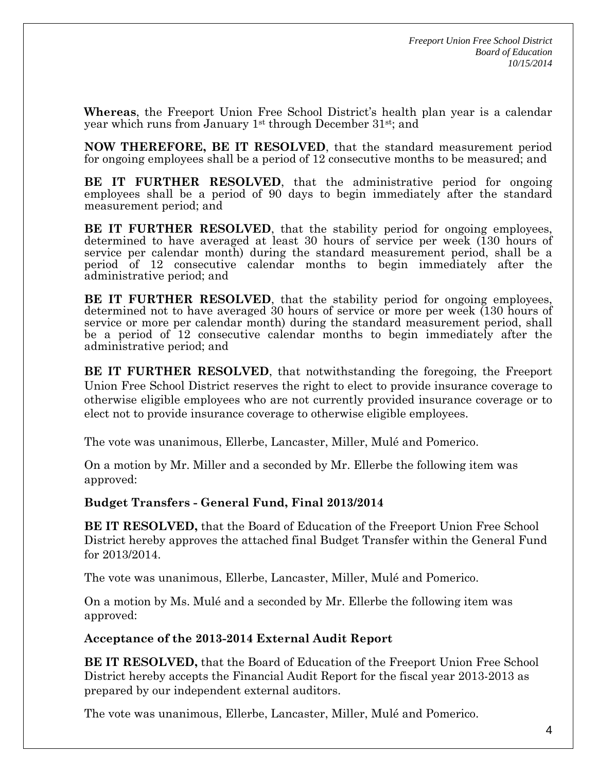**Whereas**, the Freeport Union Free School District's health plan year is a calendar year which runs from January 1st through December 31st; and

**NOW THEREFORE, BE IT RESOLVED**, that the standard measurement period for ongoing employees shall be a period of 12 consecutive months to be measured; and

**BE IT FURTHER RESOLVED**, that the administrative period for ongoing employees shall be a period of 90 days to begin immediately after the standard measurement period; and

**BE IT FURTHER RESOLVED**, that the stability period for ongoing employees, determined to have averaged at least 30 hours of service per week (130 hours of service per calendar month) during the standard measurement period, shall be a period of 12 consecutive calendar months to begin immediately after the administrative period; and

**BE IT FURTHER RESOLVED**, that the stability period for ongoing employees, determined not to have averaged 30 hours of service or more per week (130 hours of service or more per calendar month) during the standard measurement period, shall be a period of 12 consecutive calendar months to begin immediately after the administrative period; and

**BE IT FURTHER RESOLVED**, that notwithstanding the foregoing, the Freeport Union Free School District reserves the right to elect to provide insurance coverage to otherwise eligible employees who are not currently provided insurance coverage or to elect not to provide insurance coverage to otherwise eligible employees.

The vote was unanimous, Ellerbe, Lancaster, Miller, Mulé and Pomerico.

On a motion by Mr. Miller and a seconded by Mr. Ellerbe the following item was approved:

**Budget Transfers - General Fund, Final 2013/2014**

**BE IT RESOLVED,** that the Board of Education of the Freeport Union Free School District hereby approves the attached final Budget Transfer within the General Fund for 2013/2014.

The vote was unanimous, Ellerbe, Lancaster, Miller, Mulé and Pomerico.

On a motion by Ms. Mulé and a seconded by Mr. Ellerbe the following item was approved:

**Acceptance of the 2013-2014 External Audit Report** 

**BE IT RESOLVED,** that the Board of Education of the Freeport Union Free School District hereby accepts the Financial Audit Report for the fiscal year 2013-2013 as prepared by our independent external auditors.

The vote was unanimous, Ellerbe, Lancaster, Miller, Mulé and Pomerico.